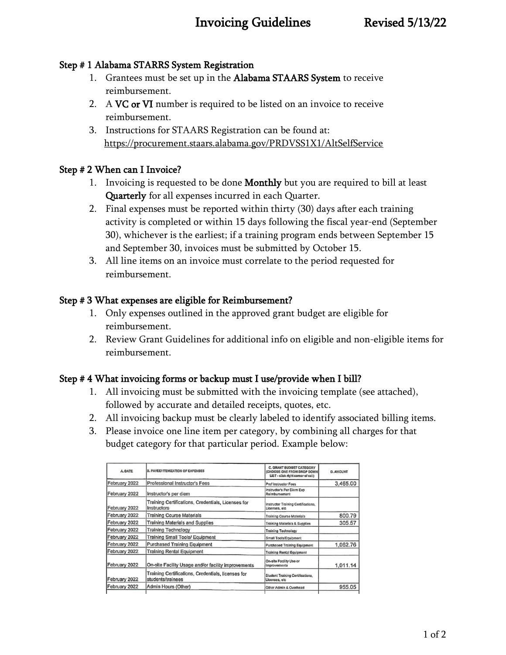# Invoicing Guidelines Revised 5/13/22

## Step # 1 Alabama STARRS System Registration

- 1. Grantees must be set up in the Alabama STAARS System to receive reimbursement.
- 2. A VC or VI number is required to be listed on an invoice to receive reimbursement.
- 3. Instructions for STAARS Registration can be found at: <https://procurement.staars.alabama.gov/PRDVSS1X1/AltSelfService>

# Step # 2 When can I Invoice?

- 1. Invoicing is requested to be done Monthly but you are required to bill at least Quarterly for all expenses incurred in each Quarter.
- 2. Final expenses must be reported within thirty (30) days after each training activity is completed or within 15 days following the fiscal year-end (September 30), whichever is the earliest; if a training program ends between September 15 and September 30, invoices must be submitted by October 15.
- 3. All line items on an invoice must correlate to the period requested for reimbursement.

## Step # 3 What expenses are eligible for Reimbursement?

- 1. Only expenses outlined in the approved grant budget are eligible for reimbursement.
- 2. Review Grant Guidelines for additional info on eligible and non-eligible items for reimbursement.

### Step # 4 What invoicing forms or backup must I use/provide when I bill?

- 1. All invoicing must be submitted with the invoicing template (see attached), followed by accurate and detailed receipts, quotes, etc.
- 2. All invoicing backup must be clearly labeled to identify associated billing items.
- 3. Please invoice one line item per category, by combining all charges for that budget category for that particular period. Example below:

| A DATE        | <b>B. PAYEE/ ITEMIZATION OF EXPENSES</b>                                | C. GRANT BUDGET CATEGORY<br>(CHOOSE ONE FROM DROP DOWN)<br>LIST - click right cornor of cell) | D. AMOUNT |
|---------------|-------------------------------------------------------------------------|-----------------------------------------------------------------------------------------------|-----------|
| February 2022 | Professional Instructor's Fees                                          | Prof Instructor Fees                                                                          | 3,465.00  |
| February 2022 | Instructor's per diem                                                   | Instructor's Per Diem Exp<br>Reimbursement                                                    |           |
| February 2022 | Training Certifications, Credentials, Licenses for<br>Instructors       | Instructor Training Certifications,<br>Licenses, etc.                                         |           |
| February 2022 | <b>Training Course Materials</b>                                        | <b>Training Course Materials</b>                                                              | 800.79    |
| February 2022 | <b>Training Materials and Supplies</b>                                  | Training Materials & Supplies                                                                 | 305.57    |
| February 2022 | <b>Training Technology</b>                                              | <b>Training Technology</b>                                                                    |           |
| February 2022 | <b>Training Small Tools/ Equipment</b>                                  | Small Tools/Equipment                                                                         |           |
| February 2022 | <b>Purchased Training Equipment</b>                                     | Purchased Training Equipment                                                                  | 1,062.76  |
| February 2022 | <b>Training Rental Equipment</b>                                        | <b>Training Rental Equipment</b>                                                              |           |
| February 2022 | On-site Facility Usage and/or facility improvements                     | On-site Facility Use or<br>Improvements                                                       | 1,011.14  |
| February 2022 | Training Certifications, Credentials, licenses for<br>students/trainees | Student Training Certifications,<br>Licenses, etc.                                            |           |
| February 2022 | Admin Hours (Other)                                                     | Other Admin & Overhead                                                                        | 955.05    |